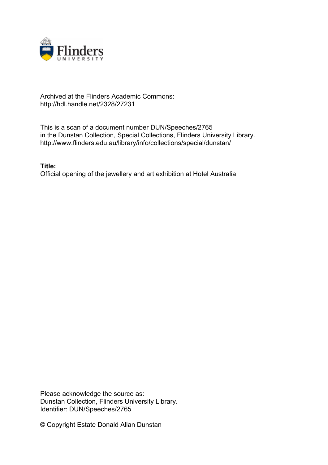

## Archived at the Flinders Academic Commons: http://hdl.handle.net/2328/27231

This is a scan of a document number DUN/Speeches/2765 in the Dunstan Collection, Special Collections, Flinders University Library. http://www.flinders.edu.au/library/info/collections/special/dunstan/

**Title:** Official opening of the jewellery and art exhibition at Hotel Australia

Please acknowledge the source as: Dunstan Collection, Flinders University Library. Identifier: DUN/Speeches/2765

© Copyright Estate Donald Allan Dunstan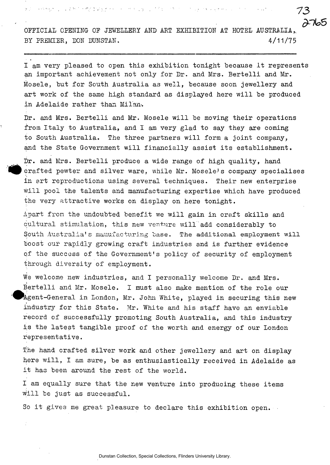OFFICIAL OPENING OF JEWELLERY AND ART EXHIBITION AT HOTEL AUSTRALIA, BY PREMIER, DON DUNSTAN. 4/11/75

**— • • - 73** 

I am very pleased to open this exhibition tonight because it represents an important achievement not only for Dr. and Mrs. Bertelli and Mr. Mosele, but for South Australia as well, because soon jewellery and art work of the same high standard as displayed here will be produced in Adelaide rather than Milan'.

Dr. and Mrs. Bertelli and Mr. Mosele will be moving their operations from Italy to Australia, and I am very glad to say they are coming to South Australia. The three partners will form a joint company, and the State Government will financially assist its establishment.

Dr. and Mrs. Bertelli produce a wide range of high quality, hand  $erafted$  pewter and silver ware, while Mr. Mosele's company specialises in art reproductions using several techniques. Their new enterprise will pool the talents and manufacturing expertise which have produced the very attractive works on display on here tonight.

Apart from the undoubted benefit we will gain in craft skills and cultural stimulation, this new venture will add considerably to South Australia's manufacturing base. The additional employment will boost our rapidly growing craft industries and is further evidence of the success of the Government's policy of security of employment through diversity of employment.

We welcome new industries, and I personally welcome Dr. and Mrs. Bertelli and Mr. Mosele. I must also make mention of the role our Agent-General in London, Mr. John White, played in securing this new industry for this State. Mr. White and his staff have an enviable record of successfully promoting South Australia, and this industry is the latest tangible proof of the worth and energy of our London representative.

The hand crafted silver work and other jewellery and art on display here will, I am sure, be as enthusiastically received in Adelaide as it has been around the rest of the world.

I am equally sure that the new venture into producing these items will be just as successful.

So it gives me great pleasure to declare this exhibition open.